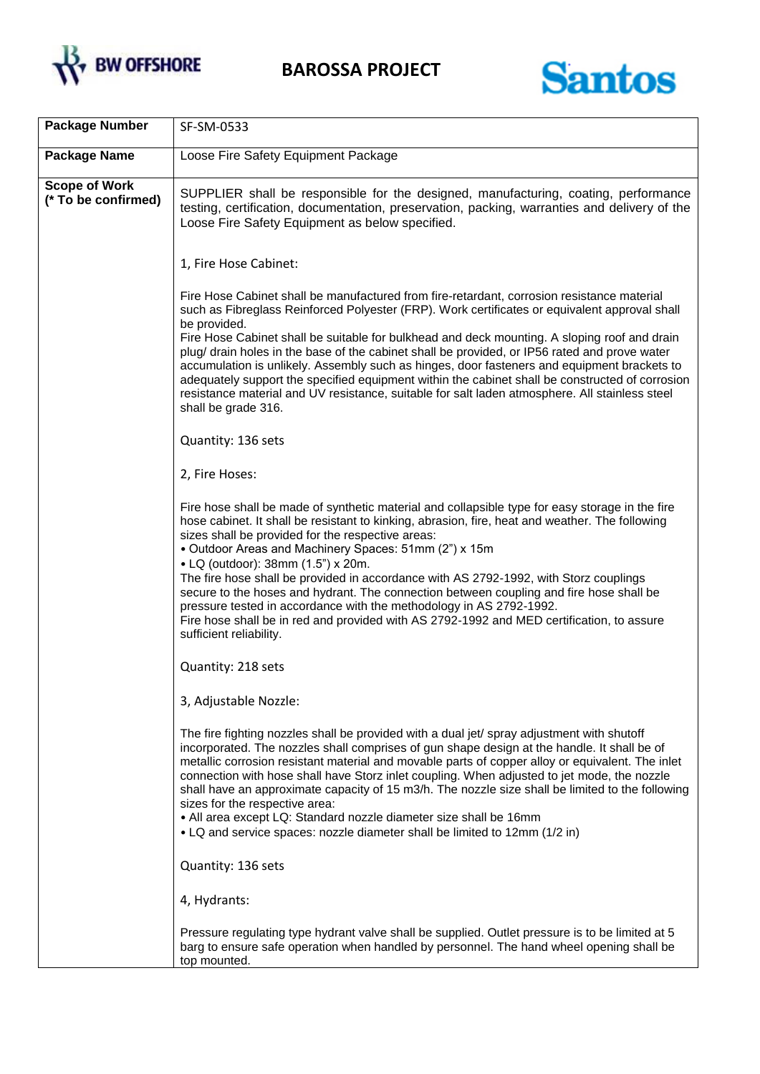



| <b>Package Number</b>                       | SF-SM-0533                                                                                                                                                                                                                                                                                                                                                                                                                                                                                                                                                                                                                                                                                                                                |
|---------------------------------------------|-------------------------------------------------------------------------------------------------------------------------------------------------------------------------------------------------------------------------------------------------------------------------------------------------------------------------------------------------------------------------------------------------------------------------------------------------------------------------------------------------------------------------------------------------------------------------------------------------------------------------------------------------------------------------------------------------------------------------------------------|
| <b>Package Name</b>                         | Loose Fire Safety Equipment Package                                                                                                                                                                                                                                                                                                                                                                                                                                                                                                                                                                                                                                                                                                       |
| <b>Scope of Work</b><br>(* To be confirmed) | SUPPLIER shall be responsible for the designed, manufacturing, coating, performance<br>testing, certification, documentation, preservation, packing, warranties and delivery of the<br>Loose Fire Safety Equipment as below specified.                                                                                                                                                                                                                                                                                                                                                                                                                                                                                                    |
|                                             | 1, Fire Hose Cabinet:                                                                                                                                                                                                                                                                                                                                                                                                                                                                                                                                                                                                                                                                                                                     |
|                                             | Fire Hose Cabinet shall be manufactured from fire-retardant, corrosion resistance material<br>such as Fibreglass Reinforced Polyester (FRP). Work certificates or equivalent approval shall<br>be provided.<br>Fire Hose Cabinet shall be suitable for bulkhead and deck mounting. A sloping roof and drain<br>plug/ drain holes in the base of the cabinet shall be provided, or IP56 rated and prove water<br>accumulation is unlikely. Assembly such as hinges, door fasteners and equipment brackets to<br>adequately support the specified equipment within the cabinet shall be constructed of corrosion<br>resistance material and UV resistance, suitable for salt laden atmosphere. All stainless steel<br>shall be grade 316.   |
|                                             | Quantity: 136 sets                                                                                                                                                                                                                                                                                                                                                                                                                                                                                                                                                                                                                                                                                                                        |
|                                             | 2, Fire Hoses:                                                                                                                                                                                                                                                                                                                                                                                                                                                                                                                                                                                                                                                                                                                            |
|                                             | Fire hose shall be made of synthetic material and collapsible type for easy storage in the fire<br>hose cabinet. It shall be resistant to kinking, abrasion, fire, heat and weather. The following<br>sizes shall be provided for the respective areas:<br>• Outdoor Areas and Machinery Spaces: 51mm (2") x 15m<br>• LQ (outdoor): 38mm (1.5") x 20m.<br>The fire hose shall be provided in accordance with AS 2792-1992, with Storz couplings<br>secure to the hoses and hydrant. The connection between coupling and fire hose shall be<br>pressure tested in accordance with the methodology in AS 2792-1992.<br>Fire hose shall be in red and provided with AS 2792-1992 and MED certification, to assure<br>sufficient reliability. |
|                                             | Quantity: 218 sets                                                                                                                                                                                                                                                                                                                                                                                                                                                                                                                                                                                                                                                                                                                        |
|                                             | 3, Adjustable Nozzle:                                                                                                                                                                                                                                                                                                                                                                                                                                                                                                                                                                                                                                                                                                                     |
|                                             | The fire fighting nozzles shall be provided with a dual jet/ spray adjustment with shutoff<br>incorporated. The nozzles shall comprises of gun shape design at the handle. It shall be of<br>metallic corrosion resistant material and movable parts of copper alloy or equivalent. The inlet<br>connection with hose shall have Storz inlet coupling. When adjusted to jet mode, the nozzle<br>shall have an approximate capacity of 15 m3/h. The nozzle size shall be limited to the following<br>sizes for the respective area:<br>• All area except LQ: Standard nozzle diameter size shall be 16mm<br>• LQ and service spaces: nozzle diameter shall be limited to 12mm (1/2 in)                                                     |
|                                             | Quantity: 136 sets                                                                                                                                                                                                                                                                                                                                                                                                                                                                                                                                                                                                                                                                                                                        |
|                                             | 4, Hydrants:                                                                                                                                                                                                                                                                                                                                                                                                                                                                                                                                                                                                                                                                                                                              |
|                                             | Pressure regulating type hydrant valve shall be supplied. Outlet pressure is to be limited at 5<br>barg to ensure safe operation when handled by personnel. The hand wheel opening shall be<br>top mounted.                                                                                                                                                                                                                                                                                                                                                                                                                                                                                                                               |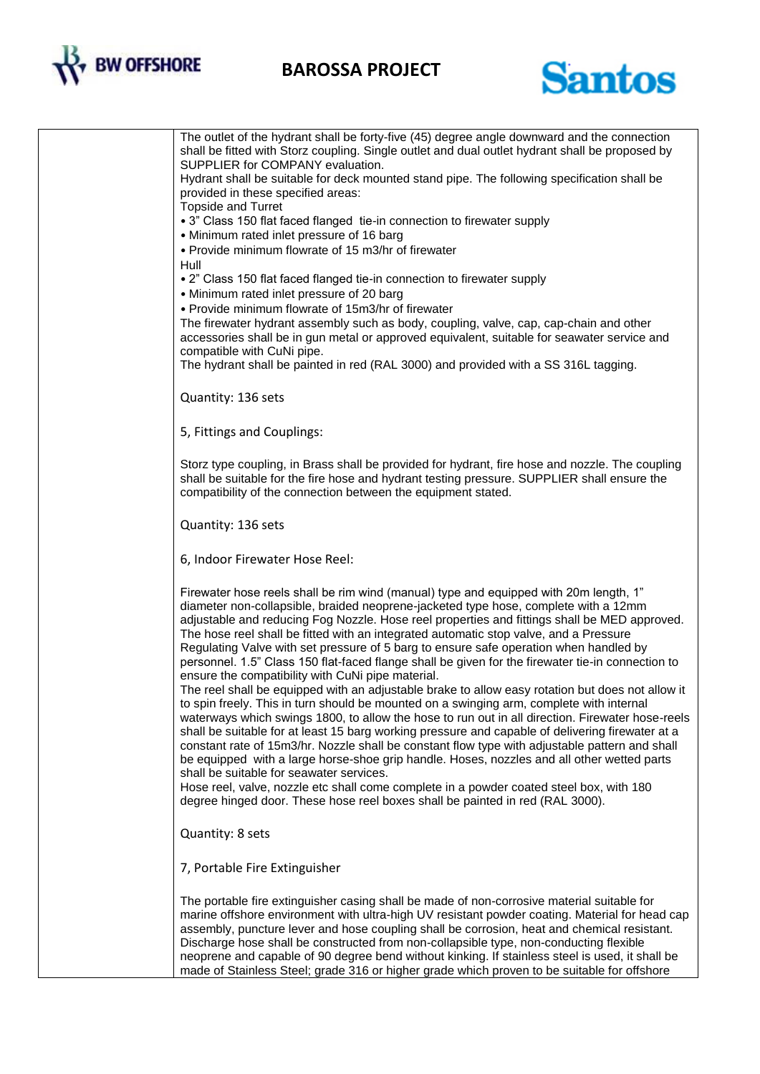

## **BAROSSA PROJECT**



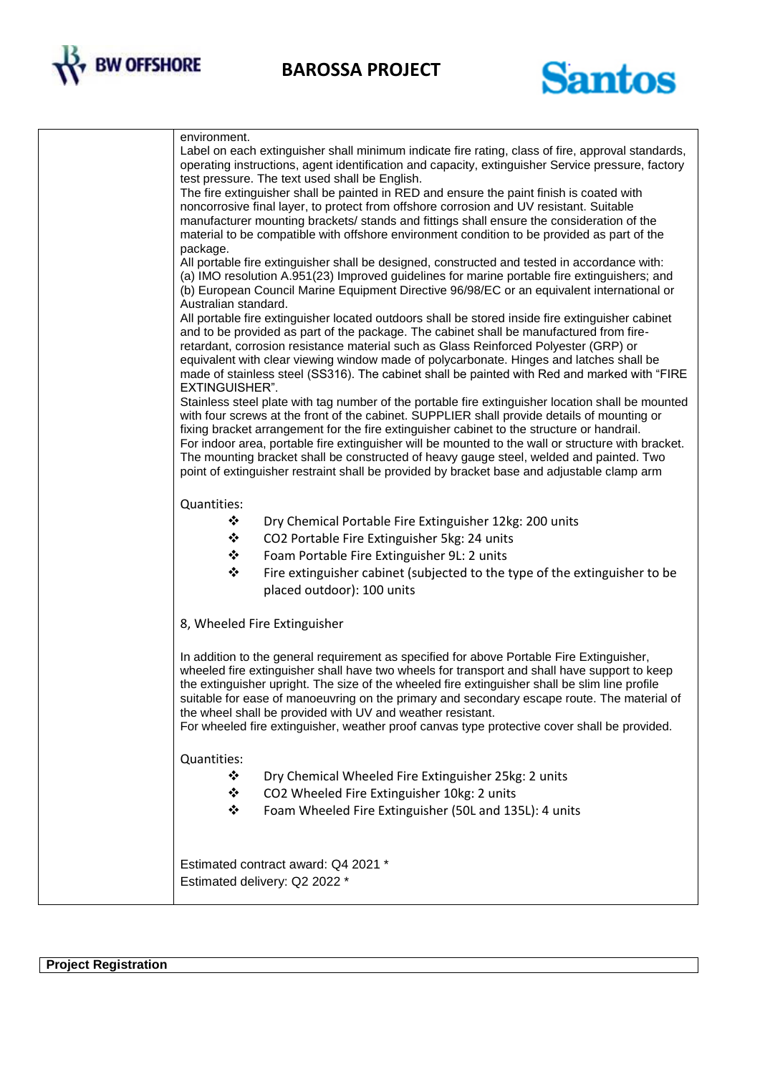

**BAROSSA PROJECT**



| environment.<br>Label on each extinguisher shall minimum indicate fire rating, class of fire, approval standards,<br>operating instructions, agent identification and capacity, extinguisher Service pressure, factory<br>test pressure. The text used shall be English.<br>The fire extinguisher shall be painted in RED and ensure the paint finish is coated with<br>noncorrosive final layer, to protect from offshore corrosion and UV resistant. Suitable<br>manufacturer mounting brackets/ stands and fittings shall ensure the consideration of the<br>material to be compatible with offshore environment condition to be provided as part of the<br>package.<br>All portable fire extinguisher shall be designed, constructed and tested in accordance with:<br>(a) IMO resolution A.951(23) Improved guidelines for marine portable fire extinguishers; and<br>(b) European Council Marine Equipment Directive 96/98/EC or an equivalent international or<br>Australian standard.<br>All portable fire extinguisher located outdoors shall be stored inside fire extinguisher cabinet<br>and to be provided as part of the package. The cabinet shall be manufactured from fire-<br>retardant, corrosion resistance material such as Glass Reinforced Polyester (GRP) or<br>equivalent with clear viewing window made of polycarbonate. Hinges and latches shall be<br>made of stainless steel (SS316). The cabinet shall be painted with Red and marked with "FIRE<br>EXTINGUISHER".<br>Stainless steel plate with tag number of the portable fire extinguisher location shall be mounted<br>with four screws at the front of the cabinet. SUPPLIER shall provide details of mounting or<br>fixing bracket arrangement for the fire extinguisher cabinet to the structure or handrail.<br>For indoor area, portable fire extinguisher will be mounted to the wall or structure with bracket.<br>The mounting bracket shall be constructed of heavy gauge steel, welded and painted. Two<br>point of extinguisher restraint shall be provided by bracket base and adjustable clamp arm |
|----------------------------------------------------------------------------------------------------------------------------------------------------------------------------------------------------------------------------------------------------------------------------------------------------------------------------------------------------------------------------------------------------------------------------------------------------------------------------------------------------------------------------------------------------------------------------------------------------------------------------------------------------------------------------------------------------------------------------------------------------------------------------------------------------------------------------------------------------------------------------------------------------------------------------------------------------------------------------------------------------------------------------------------------------------------------------------------------------------------------------------------------------------------------------------------------------------------------------------------------------------------------------------------------------------------------------------------------------------------------------------------------------------------------------------------------------------------------------------------------------------------------------------------------------------------------------------------------------------------------------------------------------------------------------------------------------------------------------------------------------------------------------------------------------------------------------------------------------------------------------------------------------------------------------------------------------------------------------------------------------------------------------------------------------------------------------------------------------|
| Quantities:<br>❖<br>Dry Chemical Portable Fire Extinguisher 12kg: 200 units<br>❖<br>CO2 Portable Fire Extinguisher 5kg: 24 units<br>❖<br>Foam Portable Fire Extinguisher 9L: 2 units<br>❖<br>Fire extinguisher cabinet (subjected to the type of the extinguisher to be<br>placed outdoor): 100 units                                                                                                                                                                                                                                                                                                                                                                                                                                                                                                                                                                                                                                                                                                                                                                                                                                                                                                                                                                                                                                                                                                                                                                                                                                                                                                                                                                                                                                                                                                                                                                                                                                                                                                                                                                                              |
| 8, Wheeled Fire Extinguisher                                                                                                                                                                                                                                                                                                                                                                                                                                                                                                                                                                                                                                                                                                                                                                                                                                                                                                                                                                                                                                                                                                                                                                                                                                                                                                                                                                                                                                                                                                                                                                                                                                                                                                                                                                                                                                                                                                                                                                                                                                                                       |
| In addition to the general requirement as specified for above Portable Fire Extinguisher,<br>wheeled fire extinguisher shall have two wheels for transport and shall have support to keep<br>the extinguisher upright. The size of the wheeled fire extinguisher shall be slim line profile<br>suitable for ease of manoeuvring on the primary and secondary escape route. The material of<br>the wheel shall be provided with UV and weather resistant.<br>For wheeled fire extinguisher, weather proof canvas type protective cover shall be provided.                                                                                                                                                                                                                                                                                                                                                                                                                                                                                                                                                                                                                                                                                                                                                                                                                                                                                                                                                                                                                                                                                                                                                                                                                                                                                                                                                                                                                                                                                                                                           |
| Quantities:<br>❖<br>Dry Chemical Wheeled Fire Extinguisher 25kg: 2 units<br>❖<br>CO2 Wheeled Fire Extinguisher 10kg: 2 units<br>❖<br>Foam Wheeled Fire Extinguisher (50L and 135L): 4 units                                                                                                                                                                                                                                                                                                                                                                                                                                                                                                                                                                                                                                                                                                                                                                                                                                                                                                                                                                                                                                                                                                                                                                                                                                                                                                                                                                                                                                                                                                                                                                                                                                                                                                                                                                                                                                                                                                        |
| Estimated contract award: Q4 2021 *<br>Estimated delivery: Q2 2022 *                                                                                                                                                                                                                                                                                                                                                                                                                                                                                                                                                                                                                                                                                                                                                                                                                                                                                                                                                                                                                                                                                                                                                                                                                                                                                                                                                                                                                                                                                                                                                                                                                                                                                                                                                                                                                                                                                                                                                                                                                               |

**Project Registration**